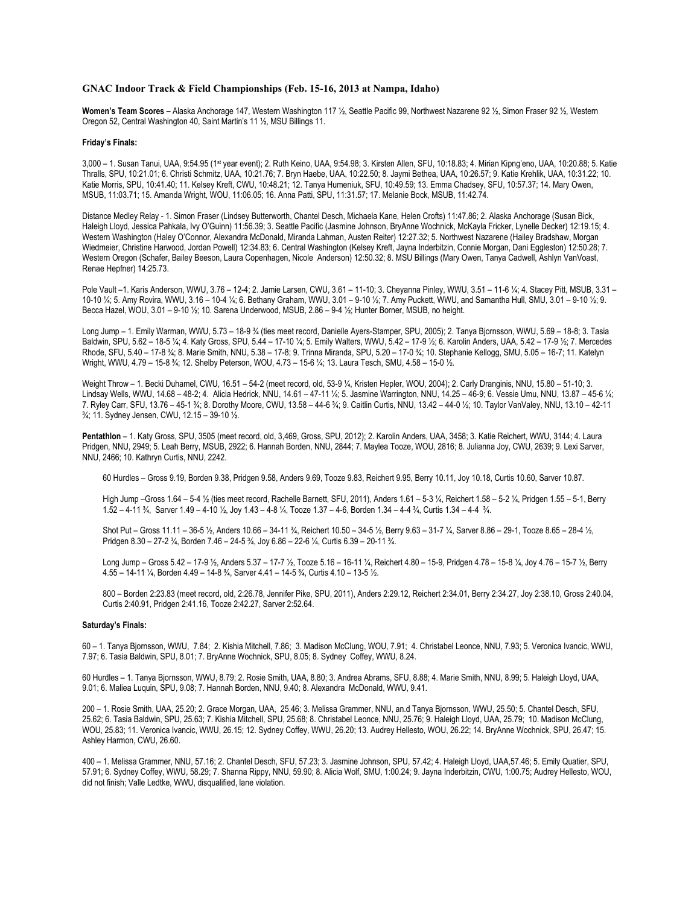## **GNAC Indoor Track & Field Championships (Feb. 15-16, 2013 at Nampa, Idaho)**

**Women's Team Scores –** Alaska Anchorage 147, Western Washington 117 ½, Seattle Pacific 99, Northwest Nazarene 92 ½, Simon Fraser 92 ½, Western Oregon 52, Central Washington 40, Saint Martin's 11 ½, MSU Billings 11.

## **Friday's Finals:**

3,000 – 1. Susan Tanui, UAA, 9:54.95 (1st year event); 2. Ruth Keino, UAA, 9:54.98; 3. Kirsten Allen, SFU, 10:18.83; 4. Mirian Kipng'eno, UAA, 10:20.88; 5. Katie Thralls, SPU, 10:21.01; 6. Christi Schmitz, UAA, 10:21.76; 7. Bryn Haebe, UAA, 10:22.50; 8. Jaymi Bethea, UAA, 10:26.57; 9. Katie Krehlik, UAA, 10:31.22; 10. Katie Morris, SPU, 10:41.40; 11. Kelsey Kreft, CWU, 10:48.21; 12. Tanya Humeniuk, SFU, 10:49.59; 13. Emma Chadsey, SFU, 10:57.37; 14. Mary Owen, MSUB, 11:03.71; 15. Amanda Wright, WOU, 11:06.05; 16. Anna Patti, SPU, 11:31.57; 17. Melanie Bock, MSUB, 11:42.74.

Distance Medley Relay - 1. Simon Fraser (Lindsey Butterworth, Chantel Desch, Michaela Kane, Helen Crofts) 11:47.86; 2. Alaska Anchorage (Susan Bick, Haleigh Lloyd, Jessica Pahkala, Ivy O'Guinn) 11:56.39; 3. Seattle Pacific (Jasmine Johnson, BryAnne Wochnick, McKayla Fricker, Lynelle Decker) 12:19.15; 4. Western Washington (Haley O'Connor, Alexandra McDonald, Miranda Lahman, Austen Reiter) 12:27.32; 5. Northwest Nazarene (Hailey Bradshaw, Morgan Wiedmeier, Christine Harwood, Jordan Powell) 12:34.83; 6. Central Washington (Kelsey Kreft, Jayna Inderbitzin, Connie Morgan, Dani Eggleston) 12:50.28; 7. Western Oregon (Schafer, Bailey Beeson, Laura Copenhagen, Nicole Anderson) 12:50.32; 8. MSU Billings (Mary Owen, Tanya Cadwell, Ashlyn VanVoast, Renae Hepfner) 14:25.73.

Pole Vault –1. Karis Anderson, WWU, 3.76 – 12-4; 2. Jamie Larsen, CWU, 3.61 – 11-10; 3. Cheyanna Pinley, WWU, 3.51 – 11-6 ¼; 4. Stacey Pitt, MSUB, 3.31 – 10-10 ¼; 5. Amy Rovira, WWU, 3.16 – 10-4 ¼; 6. Bethany Graham, WWU, 3.01 – 9-10 ½; 7. Amy Puckett, WWU, and Samantha Hull, SMU, 3.01 – 9-10 ½; 9. Becca Hazel, WOU, 3.01 – 9-10 ½; 10. Sarena Underwood, MSUB, 2.86 – 9-4 ½; Hunter Borner, MSUB, no height.

Long Jump – 1. Emily Warman, WWU, 5.73 – 18-9 ¾ (ties meet record, Danielle Ayers-Stamper, SPU, 2005); 2. Tanya Bjornsson, WWU, 5.69 – 18-8; 3. Tasia Baldwin, SPU, 5.62 – 18-5 ¼; 4. Katy Gross, SPU, 5.44 – 17-10 ¼; 5. Emily Walters, WWU, 5.42 – 17-9 ½; 6. Karolin Anders, UAA, 5.42 – 17-9 ½; 7. Mercedes Rhode, SFU, 5.40 – 17-8 ¾; 8. Marie Smith, NNU, 5.38 – 17-8; 9. Trinna Miranda, SPU, 5.20 – 17-0 ¾; 10. Stephanie Kellogg, SMU, 5.05 – 16-7; 11. Katelyn Wright, WWU, 4.79 – 15-8 ¾; 12. Shelby Peterson, WOU, 4.73 – 15-6 ¼; 13. Laura Tesch, SMU, 4.58 – 15-0 ½.

Weight Throw – 1. Becki Duhamel, CWU, 16.51 – 54-2 (meet record, old, 53-9 ¼, Kristen Hepler, WOU, 2004); 2. Carly Dranginis, NNU, 15.80 – 51-10; 3. Lindsay Wells, WWU, 14.68 – 48-2; 4. Alicia Hedrick, NNU, 14.61 – 47-11 ¼; 5. Jasmine Warrington, NNU, 14.25 – 46-9; 6. Vessie Umu, NNU, 13.87 – 45-6 ¼; 7. Ryley Carr, SFU, 13.76 – 45-1 ¾; 8. Dorothy Moore, CWU, 13.58 – 44-6 ¾; 9. Caitlin Curtis, NNU, 13.42 – 44-0 ½; 10. Taylor VanValey, NNU, 13.10 – 42-11 ¾; 11. Sydney Jensen, CWU, 12.15 – 39-10 ½.

**Pentathlon** – 1. Katy Gross, SPU, 3505 (meet record, old, 3,469, Gross, SPU, 2012); 2. Karolin Anders, UAA, 3458; 3. Katie Reichert, WWU, 3144; 4. Laura Pridgen, NNU, 2949; 5. Leah Berry, MSUB, 2922; 6. Hannah Borden, NNU, 2844; 7. Maylea Tooze, WOU, 2816; 8. Julianna Joy, CWU, 2639; 9. Lexi Sarver, NNU, 2466; 10. Kathryn Curtis, NNU, 2242.

60 Hurdles – Gross 9.19, Borden 9.38, Pridgen 9.58, Anders 9.69, Tooze 9.83, Reichert 9.95, Berry 10.11, Joy 10.18, Curtis 10.60, Sarver 10.87.

High Jump –Gross 1.64 – 5-4 ½ (ties meet record, Rachelle Barnett, SFU, 2011), Anders 1.61 – 5-3 ¼, Reichert 1.58 – 5-2 ¼, Pridgen 1.55 – 5-1, Berry 1.52 – 4-11 ¾, Sarver 1.49 – 4-10 ½, Joy 1.43 – 4-8 ¼, Tooze 1.37 – 4-6, Borden 1.34 – 4-4 ¾, Curtis 1.34 – 4-4 ¾.

Shot Put – Gross 11.11 – 36-5 ½, Anders 10.66 – 34-11 ¾, Reichert 10.50 – 34-5 ½, Berry 9.63 – 31-7 ¼, Sarver 8.86 – 29-1, Tooze 8.65 – 28-4 ½, Pridgen 8.30 – 27-2 ¾, Borden 7.46 – 24-5 ¾, Joy 6.86 – 22-6 ¼, Curtis 6.39 – 20-11 ¾.

Long Jump – Gross 5.42 – 17-9 ½, Anders 5.37 – 17-7 ½, Tooze 5.16 – 16-11 ¼, Reichert 4.80 – 15-9, Pridgen 4.78 – 15-8 ¼, Joy 4.76 – 15-7 ½, Berry 4.55 – 14-11 ¼, Borden 4.49 – 14-8 ¾, Sarver 4.41 – 14-5 ¾, Curtis 4.10 – 13-5 ½.

800 – Borden 2:23.83 (meet record, old, 2:26.78, Jennifer Pike, SPU, 2011), Anders 2:29.12, Reichert 2:34.01, Berry 2:34.27, Joy 2:38.10, Gross 2:40.04, Curtis 2:40.91, Pridgen 2:41.16, Tooze 2:42.27, Sarver 2:52.64.

## **Saturday's Finals:**

60 – 1. Tanya Bjornsson, WWU, 7.84; 2. Kishia Mitchell, 7.86; 3. Madison McClung, WOU, 7.91; 4. Christabel Leonce, NNU, 7.93; 5. Veronica Ivancic, WWU, 7.97; 6. Tasia Baldwin, SPU, 8.01; 7. BryAnne Wochnick, SPU, 8.05; 8. Sydney Coffey, WWU, 8.24.

60 Hurdles – 1. Tanya Bjornsson, WWU, 8.79; 2. Rosie Smith, UAA, 8.80; 3. Andrea Abrams, SFU, 8.88; 4. Marie Smith, NNU, 8.99; 5. Haleigh Lloyd, UAA, 9.01; 6. Maliea Luquin, SPU, 9.08; 7. Hannah Borden, NNU, 9.40; 8. Alexandra McDonald, WWU, 9.41.

200 – 1. Rosie Smith, UAA, 25.20; 2. Grace Morgan, UAA, 25.46; 3. Melissa Grammer, NNU, an.d Tanya Bjornsson, WWU, 25.50; 5. Chantel Desch, SFU, 25.62; 6. Tasia Baldwin, SPU, 25.63; 7. Kishia Mitchell, SPU, 25.68; 8. Christabel Leonce, NNU, 25.76; 9. Haleigh Lloyd, UAA, 25.79; 10. Madison McClung, WOU, 25.83; 11. Veronica Ivancic, WWU, 26.15; 12. Sydney Coffey, WWU, 26.20; 13. Audrey Hellesto, WOU, 26.22; 14. BryAnne Wochnick, SPU, 26.47; 15. Ashley Harmon, CWU, 26.60.

400 – 1. Melissa Grammer, NNU, 57.16; 2. Chantel Desch, SFU, 57.23; 3. Jasmine Johnson, SPU, 57.42; 4. Haleigh Lloyd, UAA,57.46; 5. Emily Quatier, SPU, 57.91; 6. Sydney Coffey, WWU, 58.29; 7. Shanna Rippy, NNU, 59.90; 8. Alicia Wolf, SMU, 1:00.24; 9. Jayna Inderbitzin, CWU, 1:00.75; Audrey Hellesto, WOU, did not finish; Valle Ledtke, WWU, disqualified, lane violation.